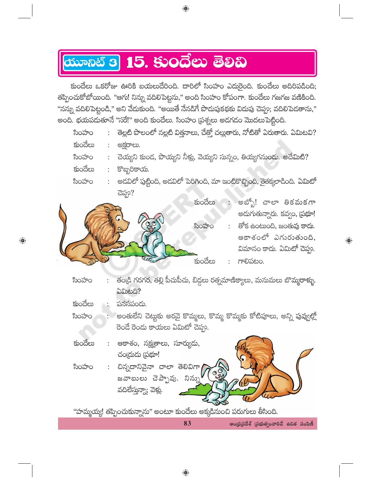## <mark>యూనిట్ 3</mark> 15. కు౦దేలు తెలిచి

కుందేలు ఒకరోజు ఊరికి బయలుదేరింది. దారిలో సింహం ఎదురైంది. కుందేలు అదిరిపడింది; తప్పించుకోబోయింది. "ఆగు! నిన్ను వదిలిపెట్టను," అంది సింహం కోపంగా. కుందేలు గజగజ వణికింది. "నన్ను వదిలిపెట్టండి," అని వేదుకుంది. "అయితే నేనడిగే పొదుపుకథకు విదుపు చెప్పు; వదిలిపెదతాను," అంది. భయపదుతూనే "సరే!" అంది కుందేలు. సింహం (పశ్నలు అదగడం మొదలుపెట్టింది.

 $\bigoplus$ 

- తెల్లటి పొలంలో నల్లటి విత్తనాలు, చేత్తో చల్లుతారు, నోటితో ఏరుతారు. ఏమిటవి? సింహం కుందేలు : అక్షరాలు.
- చెయ్యని కుండ, పొయ్యని నీళ్లు, వెయ్యని సున్నం, తియ్యగనుండు. అదేమిటి? సింహం
- కుందేలు కొబ్బరికాయ.
- అడవిలో పుట్టింది, అడవిలో పెరిగింది, మా ఇంటికొచ్చింది, తైతక్కలాడింది. ఏమిటో సింహం చెప్తూ?



- తండ్రి గరగర, తల్లి పీచుపీచు, బిడ్డలు రత్నమాణిక్యాలు, మనుమలు బొమ్మరాళ్ళు. సింహం **<u> බ්බාහයි?</u>**
- కుందేలు పనసపండు.

 $\overline{\mathbin{\circledbullet}}$ 

- అంతులేని చెట్టుకు అరవై కొమ్మలు, కొమ్మ కొమ్మకు కోటిపూలు, అన్ని పువ్వల్లో సింహం .<br>రెండే రెండు కాయలు ఏమిటో చెప్పు.
- కుందేలు ఆకాశం, నక్ష్మతాలు, సూర్యుడు, చంద్రుడు (పభూ! చిన్నదానివైనా చాలా తెలివిగా సింహం

జవాబులు చెప్పావు. నిన్ను వదిలేస్తున్నా; వెళ్లు.

"హమ్మయ్య! తప్పించుకున్నాను" అంటూ కుందేలు అక్కడినుంచి పరుగులు తీసింది.

83

ఆంధ్రప్రదేశ్ (పభుత్వంవారిచే ఉచిత పంపిణీ

 $\overline{\mathbb{Q}}$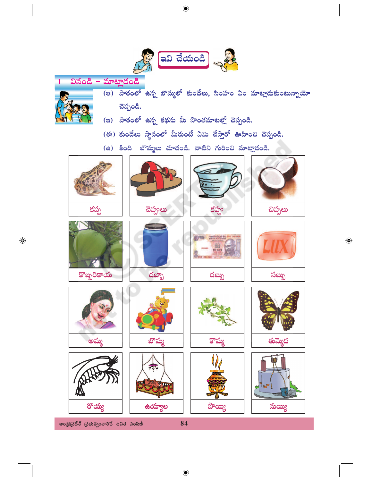

 $\bigoplus$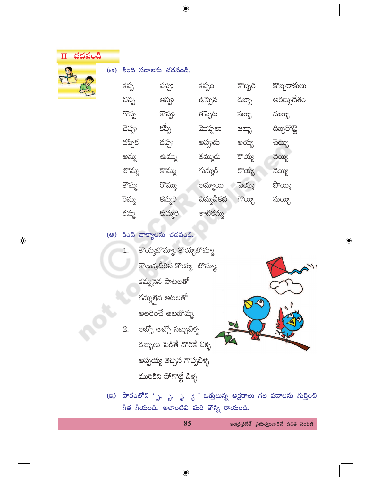| ш | చదవండి |
|---|--------|
|   |        |

(అ) కింది పదాలను చదవండి.

 $\bigoplus$ 

కొబ్బరి కొబ్బరాకులు కప్పం కప్ప పప్ప అరబ్బుదేశం ఉప్పెన చిప్ప అప్పు డబ్బా గొప్ప కొప్పు తప్పెట మబ్బు సబ్బు కప్పీ మొప్పలు చెప్పు దిబ్బరొట్టె ಜಬ್ಬು దప్పిక డప్పు అప్పుడు అయ్య చెయ్యి అమ్మ కొయ్య తుమ్ము తమ్ముదు వెయ్యి బొమ్మ కొమ్ము గుమ్మడి రొయ్య  $\frac{1}{2}$ కొమ్మ రొమ్ము అమ్మాయి పె<mark>య్య</mark> ಭೌಯ್ಯ చిమ్మచీకటి రెమ్మ  $\delta$ కమ్మరి నుయ్యి కమ్మ తాటికమ్మ కుమ్మరి

## (ఆ) కింది వాక్యాలను చదవండి.

- కొయ్యబొమ్మా, కొయ్యబొమ్మా 1. .<br>కొలువుదీరిన కొయ్య బొమ్మా, కమ్మనైన పాటలతో గమ్మత్తైన ఆటలతో అలరించే ఆటబొమ్మ.
- అబ్బో అబ్బో సబ్బుబిళ్ళ 2. డబ్బులు పెడితే దొరికే బిళ్ళ అప్పయ్య తెచ్చిన గొప్పబిళ్ళ మురికిని పోగొట్టే బిళ్ళ



 $\bigoplus$ 

(ఇ) పాఠంలోని 'ృ, <sub>బ</sub>), <sub>త</sub>, <sub>క్తి</sub> ' ఒత్తులున్న అక్షరాలు గల పదాలను గుర్తించి గీత గీయండి. అలాంటివి మరి కొన్ని రాయండి.

|  | ఆంధ్రప్రదేశ్ (పభుత్వంవారిచే ఉచిత పంపిణీ |  |
|--|-----------------------------------------|--|
|  |                                         |  |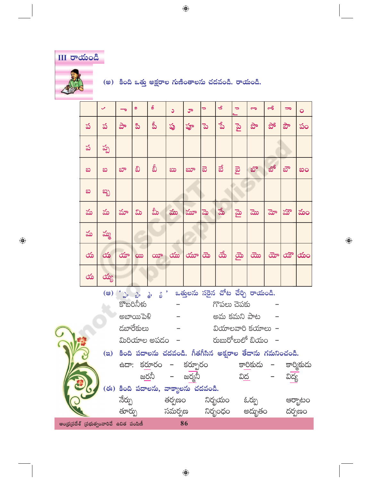**III రాయండి** (అ) కింది ఒత్తు అక్షరాల గుణింతాలను చదవండి. రాయండి.  $\overline{\mathcal{L}}$  $\begin{array}{c|c|c|c} \hline \multicolumn{1}{c|}{\textbf{0}} & \multicolumn{1}{c|}{\textbf{0}} \\ \hline \multicolumn{1}{c|}{\textbf{0}} & \multicolumn{1}{c|}{\textbf{0}} \\ \hline \multicolumn{1}{c|}{\textbf{0}} & \multicolumn{1}{c|}{\textbf{0}} \\ \hline \multicolumn{1}{c|}{\textbf{0}} & \multicolumn{1}{c|}{\textbf{0}} \\ \hline \multicolumn{1}{c|}{\textbf{0}} & \multicolumn{1}{c|}{\textbf{0}} \\ \hline \multicolumn{1}{c|}{\textbf{0}} & \mult$  $\boxed{\mathcal{S}}$  $\mathcal{F}$  $\overline{a}$ 

 $\bigoplus$ 

|                                                   |   | ✓      |        | 9            | ક                                                       | ٥               | ూ        | ∍              | $\overline{\mathbf{z}}$ | $\Rightarrow$    | రా             | $\sigma$  |          | $\bullet$  |
|---------------------------------------------------|---|--------|--------|--------------|---------------------------------------------------------|-----------------|----------|----------------|-------------------------|------------------|----------------|-----------|----------|------------|
|                                                   | ప | ప      | ಕಿ     | ಪಿ           | ప్రీ                                                    | ప్ర             | హ్ర      | ್ನ             | ್ನೆ                     | $P_{\mathbf{S}}$ | ಘಿ             | ಭೌ        | ఫౌ       | పం         |
|                                                   | ప | ప్ప    |        |              |                                                         |                 |          |                |                         |                  |                |           |          |            |
|                                                   | ಐ | ಐ      | భా     | ವಿ           | వీ                                                      | ಖು              | ಬ್       | ඞ              | ಪೆ                      |                  | బొ             | ಖ್        | బౌ       | ဆဝ         |
|                                                   | ဆ | ಬ್ಬ    |        |              |                                                         |                 |          |                |                         |                  |                |           |          |            |
|                                                   | మ | మ      | మా     | ಮಿ           | మీ                                                      | ము              | మూ       | ಮ              | $\frac{1}{2}$           | $\mathbf{B}$     | ಮ              | మో        | మౌ       | మం         |
|                                                   | మ | మ్మ    |        |              |                                                         |                 |          |                |                         |                  |                |           |          |            |
|                                                   | య | య      | యా     | $\infty$     | $\infty$                                                | $\infty$        | $\infty$ | $\vec{\infty}$ | ಹೆ                      | $\mathbf{\Phi}$  | $\overline{a}$ | ದ್ $\sim$ | $\infty$ | ထံဝ        |
|                                                   | య | ಯ್ದ    |        |              |                                                         |                 |          |                |                         |                  |                |           |          |            |
|                                                   |   | $($ ෂ) |        |              |                                                         |                 |          |                |                         |                  |                |           |          |            |
| కొబరినీళు<br>గొపలు చెపకు                          |   |        |        |              |                                                         |                 |          |                |                         |                  |                |           |          |            |
| అబాయిపెళీ<br>అమ కమని పాట                          |   |        |        |              |                                                         |                 |          |                |                         |                  |                |           |          |            |
| డబారేకులు<br>$3$ యాలవారి కయాలు –                  |   |        |        |              |                                                         |                 |          |                |                         |                  |                |           |          |            |
| మిరియాల అపడం  –               రుబురోలులో బియం   – |   |        |        |              |                                                         |                 |          |                |                         |                  |                |           |          |            |
|                                                   |   | (a)    |        |              | కింది పదాలను చదవండి. గీతగీసిన అక్షరాల తేదాను గమనించండి. |                 |          |                |                         |                  |                |           |          |            |
|                                                   |   |        |        |              | ఉదా: కరూరం – కర్పూరం - కారికుడు –                       |                 |          |                |                         |                  |                |           |          | కార్మికుదు |
|                                                   |   |        |        | <u>జర</u> నీ |                                                         |                 | – జర్మనీ |                |                         | <u>విద</u>       |                |           | విద్య    |            |
| (ఈ) కింది పదాలను, వాక్యాలను చదవండి.               |   |        |        |              |                                                         |                 |          |                |                         |                  |                |           |          |            |
|                                                   |   |        | నేర్పు |              |                                                         | తర్పణం          |          |                | నిర్భయం                 |                  | ఓర్పు          |           |          | ఆర్బాటం    |
| అందుప్రదేశ్ భుమత్వంనారినే ఉనిత పంపిణీ             |   |        | తూర్పు |              |                                                         | సమర్పణ నిర్భంధం | 86       |                |                         |                  | అద్భుతం        |           |          | దర్పణం     |

 $\bigoplus$